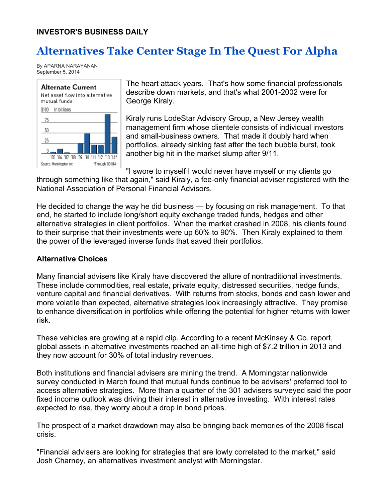## **Alternatives Take Center Stage In The Quest For Alpha**

By APARNA NARAYANAN September 5, 2014



The heart attack years. That's how some financial professionals describe down markets, and that's what 2001-2002 were for George Kiraly.

Kiraly runs LodeStar Advisory Group, a New Jersey wealth management firm whose clientele consists of individual investors and small-business owners. That made it doubly hard when portfolios, already sinking fast after the tech bubble burst, took another big hit in the market slump after 9/11.

"I swore to myself I would never have myself or my clients go through something like that again," said Kiraly, a fee-only financial adviser registered with the National Association of Personal Financial Advisors.

He decided to change the way he did business — by focusing on risk management. To that end, he started to include long/short equity exchange traded funds, hedges and other alternative strategies in client portfolios. When the market crashed in 2008, his clients found to their surprise that their investments were up 60% to 90%. Then Kiraly explained to them the power of the leveraged inverse funds that saved their portfolios.

## **Alternative Choices**

Many financial advisers like Kiraly have discovered the allure of nontraditional investments. These include commodities, real estate, private equity, distressed securities, hedge funds, venture capital and financial derivatives. With returns from stocks, bonds and cash lower and more volatile than expected, alternative strategies look increasingly attractive. They promise to enhance diversification in portfolios while offering the potential for higher returns with lower risk.

These vehicles are growing at a rapid clip. According to a recent McKinsey & Co. report, global assets in alternative investments reached an all-time high of \$7.2 trillion in 2013 and they now account for 30% of total industry revenues.

Both institutions and financial advisers are mining the trend. A Morningstar nationwide survey conducted in March found that mutual funds continue to be advisers' preferred tool to access alternative strategies. More than a quarter of the 301 advisers surveyed said the poor fixed income outlook was driving their interest in alternative investing. With interest rates expected to rise, they worry about a drop in bond prices.

The prospect of a market drawdown may also be bringing back memories of the 2008 fiscal crisis.

"Financial advisers are looking for strategies that are lowly correlated to the market," said Josh Charney, an alternatives investment analyst with Morningstar.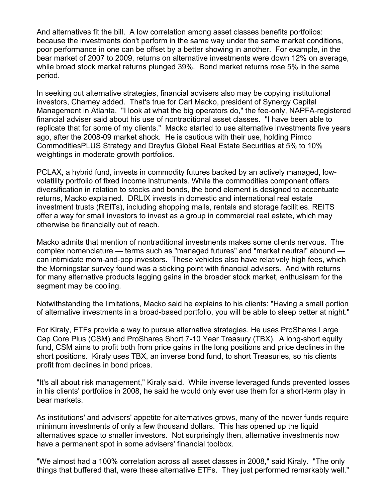And alternatives fit the bill. A low correlation among asset classes benefits portfolios: because the investments don't perform in the same way under the same market conditions, poor performance in one can be offset by a better showing in another. For example, in the bear market of 2007 to 2009, returns on alternative investments were down 12% on average, while broad stock market returns plunged 39%. Bond market returns rose 5% in the same period.

In seeking out alternative strategies, financial advisers also may be copying institutional investors, Charney added. That's true for Carl Macko, president of Synergy Capital Management in Atlanta. "I look at what the big operators do," the fee-only, NAPFA-registered financial adviser said about his use of nontraditional asset classes. "I have been able to replicate that for some of my clients." Macko started to use alternative investments five years ago, after the 2008-09 market shock. He is cautious with their use, holding Pimco CommoditiesPLUS Strategy and Dreyfus Global Real Estate Securities at 5% to 10% weightings in moderate growth portfolios.

PCLAX, a hybrid fund, invests in commodity futures backed by an actively managed, lowvolatility portfolio of fixed income instruments. While the commodities component offers diversification in relation to stocks and bonds, the bond element is designed to accentuate returns, Macko explained. DRLIX invests in domestic and international real estate investment trusts (REITs), including shopping malls, rentals and storage facilities. REITS offer a way for small investors to invest as a group in commercial real estate, which may otherwise be financially out of reach.

Macko admits that mention of nontraditional investments makes some clients nervous. The complex nomenclature — terms such as "managed futures" and "market neutral" abound can intimidate mom-and-pop investors. These vehicles also have relatively high fees, which the Morningstar survey found was a sticking point with financial advisers. And with returns for many alternative products lagging gains in the broader stock market, enthusiasm for the segment may be cooling.

Notwithstanding the limitations, Macko said he explains to his clients: "Having a small portion of alternative investments in a broad-based portfolio, you will be able to sleep better at night."

For Kiraly, ETFs provide a way to pursue alternative strategies. He uses ProShares Large Cap Core Plus (CSM) and ProShares Short 7-10 Year Treasury (TBX). A long-short equity fund, CSM aims to profit both from price gains in the long positions and price declines in the short positions. Kiraly uses TBX, an inverse bond fund, to short Treasuries, so his clients profit from declines in bond prices.

"It's all about risk management," Kiraly said. While inverse leveraged funds prevented losses in his clients' portfolios in 2008, he said he would only ever use them for a short-term play in bear markets.

As institutions' and advisers' appetite for alternatives grows, many of the newer funds require minimum investments of only a few thousand dollars. This has opened up the liquid alternatives space to smaller investors. Not surprisingly then, alternative investments now have a permanent spot in some advisers' financial toolbox.

"We almost had a 100% correlation across all asset classes in 2008," said Kiraly. "The only things that buffered that, were these alternative ETFs. They just performed remarkably well."